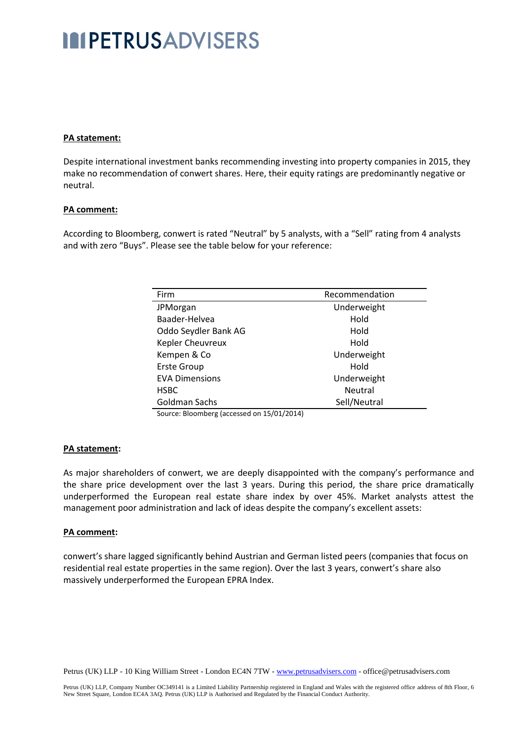## **IMPETRUSADVISERS**

## **PA statement:**

Despite international investment banks recommending investing into property companies in 2015, they make no recommendation of conwert shares. Here, their equity ratings are predominantly negative or neutral.

#### **PA comment:**

According to Bloomberg, conwert is rated "Neutral" by 5 analysts, with a "Sell" rating from 4 analysts and with zero "Buys". Please see the table below for your reference:

| Firm                  | Recommendation |  |  |
|-----------------------|----------------|--|--|
| JPMorgan              | Underweight    |  |  |
| Baader-Helvea         | Hold           |  |  |
| Oddo Seydler Bank AG  | Hold           |  |  |
| Kepler Cheuvreux      | Hold           |  |  |
| Kempen & Co           | Underweight    |  |  |
| <b>Erste Group</b>    | Hold           |  |  |
| <b>EVA Dimensions</b> | Underweight    |  |  |
| <b>HSBC</b>           | <b>Neutral</b> |  |  |
| Goldman Sachs         | Sell/Neutral   |  |  |
| $C = 104.004A$        |                |  |  |

Source: Bloomberg (accessed on 15/01/2014)

#### **PA statement:**

As major shareholders of conwert, we are deeply disappointed with the company's performance and the share price development over the last 3 years. During this period, the share price dramatically underperformed the European real estate share index by over 45%. Market analysts attest the management poor administration and lack of ideas despite the company's excellent assets:

#### **PA comment:**

conwert's share lagged significantly behind Austrian and German listed peers (companies that focus on residential real estate properties in the same region). Over the last 3 years, conwert's share also massively underperformed the European EPRA Index.

Petrus (UK) LLP - 10 King William Street - London EC4N 7TW - www.petrusadvisers.com - office@petrusadvisers.com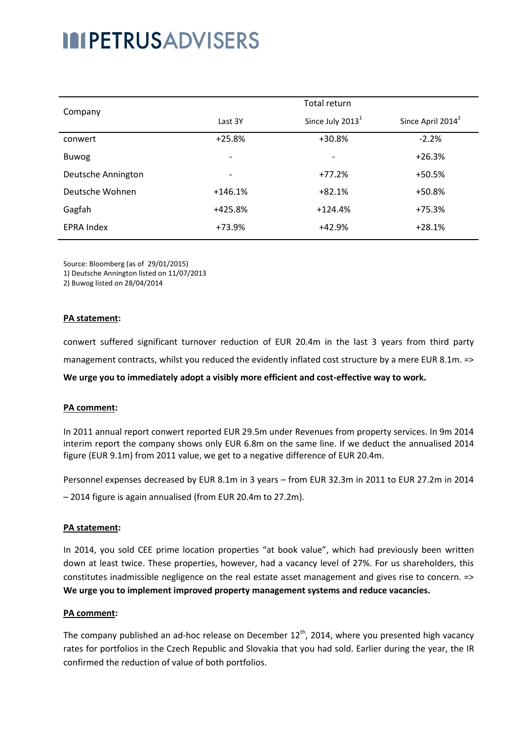# **INPETRUSADVISERS**

| Company            | Total return             |                          |                               |
|--------------------|--------------------------|--------------------------|-------------------------------|
|                    | Last 3Y                  | Since July $20131$       | Since April 2014 <sup>2</sup> |
| conwert            | $+25.8%$                 | $+30.8%$                 | $-2.2%$                       |
| Buwog              | $\overline{\phantom{a}}$ | $\overline{\phantom{a}}$ | $+26.3%$                      |
| Deutsche Annington | $\overline{\phantom{a}}$ | $+77.2%$                 | +50.5%                        |
| Deutsche Wohnen    | $+146.1%$                | $+82.1%$                 | +50.8%                        |
| Gagfah             | $+425.8%$                | $+124.4%$                | $+75.3%$                      |
| <b>EPRA Index</b>  | +73.9%                   | $+42.9%$                 | $+28.1%$                      |

Source: Bloomberg (as of 29/01/2015)

1) Deutsche Annington listed on 11/07/2013

2) Buwog listed on 28/04/2014

#### **PA statement:**

conwert suffered significant turnover reduction of EUR 20.4m in the last 3 years from third party management contracts, whilst you reduced the evidently inflated cost structure by a mere EUR 8.1m. => **We urge you to immediately adopt a visibly more efficient and cost-effective way to work.**

#### **PA comment:**

In 2011 annual report conwert reported EUR 29.5m under Revenues from property services. In 9m 2014 interim report the company shows only EUR 6.8m on the same line. If we deduct the annualised 2014 figure (EUR 9.1m) from 2011 value, we get to a negative difference of EUR 20.4m.

Personnel expenses decreased by EUR 8.1m in 3 years – from EUR 32.3m in 2011 to EUR 27.2m in 2014 – 2014 figure is again annualised (from EUR 20.4m to 27.2m).

#### **PA statement:**

In 2014, you sold CEE prime location properties "at book value", which had previously been written down at least twice. These properties, however, had a vacancy level of 27%. For us shareholders, this constitutes inadmissible negligence on the real estate asset management and gives rise to concern. => **We urge you to implement improved property management systems and reduce vacancies.**

#### **PA comment:**

The company published an ad-hoc release on December  $12<sup>th</sup>$ , 2014, where you presented high vacancy rates for portfolios in the Czech Republic and Slovakia that you had sold. Earlier during the year, the IR confirmed the reduction of value of both portfolios.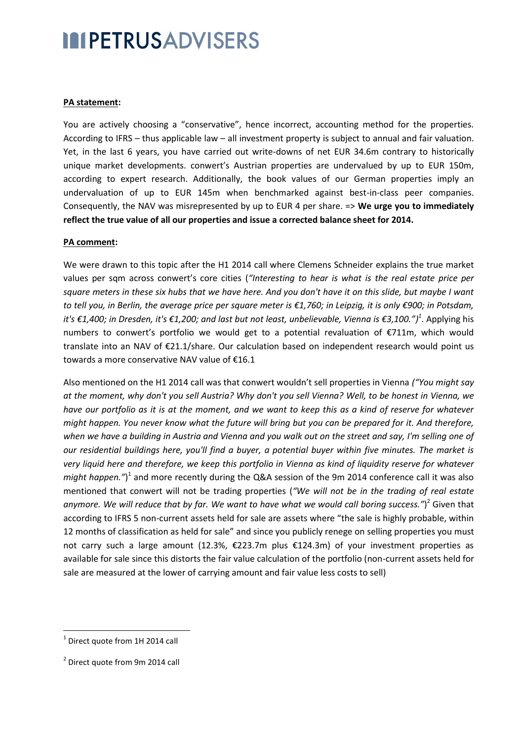## **IMPETRUSADVISERS**

## **PA statement:**

You are actively choosing a "conservative", hence incorrect, accounting method for the properties. According to IFRS – thus applicable law – all investment property is subject to annual and fair valuation. Yet, in the last 6 years, you have carried out write-downs of net EUR 34.6m contrary to historically unique market developments. conwert's Austrian properties are undervalued by up to EUR 150m, according to expert research. Additionally, the book values of our German properties imply an undervaluation of up to EUR 145m when benchmarked against best-in-class peer companies. Consequently, the NAV was misrepresented by up to EUR 4 per share. => **We urge you to immediately reflect the true value of all our properties and issue a corrected balance sheet for 2014.**

### **PA comment:**

We were drawn to this topic after the H1 2014 call where Clemens Schneider explains the true market values per sqm across conwert's core cities (*"Interesting to hear is what is the real estate price per square meters in these six hubs that we have here. And you don't have it on this slide, but maybe I want to tell you, in Berlin, the average price per square meter is €1,760; in Leipzig, it is only €900; in Potsdam, it's €1,400; in Dresden, it's €1,200; and last but not least, unbelievable, Vienna is €3,100.") 1* . Applying his numbers to conwert's portfolio we would get to a potential revaluation of €711m, which would translate into an NAV of €21.1/share. Our calculation based on independent research would point us towards a more conservative NAV value of €16.1

Also mentioned on the H1 2014 call was that conwert wouldn't sell properties in Vienna *("You might say at the moment, why don't you sell Austria? Why don't you sell Vienna? Well, to be honest in Vienna, we have our portfolio as it is at the moment, and we want to keep this as a kind of reserve for whatever might happen. You never know what the future will bring but you can be prepared for it. And therefore, when we have a building in Austria and Vienna and you walk out on the street and say, I'm selling one of our residential buildings here, you'll find a buyer, a potential buyer within five minutes. The market is very liquid here and therefore, we keep this portfolio in Vienna as kind of liquidity reserve for whatever*  might happen.")<sup>1</sup> and more recently during the Q&A session of the 9m 2014 conference call it was also mentioned that conwert will not be trading properties (*"We will not be in the trading of real estate*  anymore. We will reduce that by far. We want to have what we would call boring success.")<sup>2</sup> Given that according to IFRS 5 non-current assets held for sale are assets where "the sale is highly probable, within 12 months of classification as held for sale" and since you publicly renege on selling properties you must not carry such a large amount (12.3%, €223.7m plus €124.3m) of your investment properties as available for sale since this distorts the fair value calculation of the portfolio (non-current assets held for sale are measured at the lower of carrying amount and fair value less costs to sell)

**.** 

 $<sup>1</sup>$  Direct quote from 1H 2014 call</sup>

<sup>&</sup>lt;sup>2</sup> Direct quote from 9m 2014 call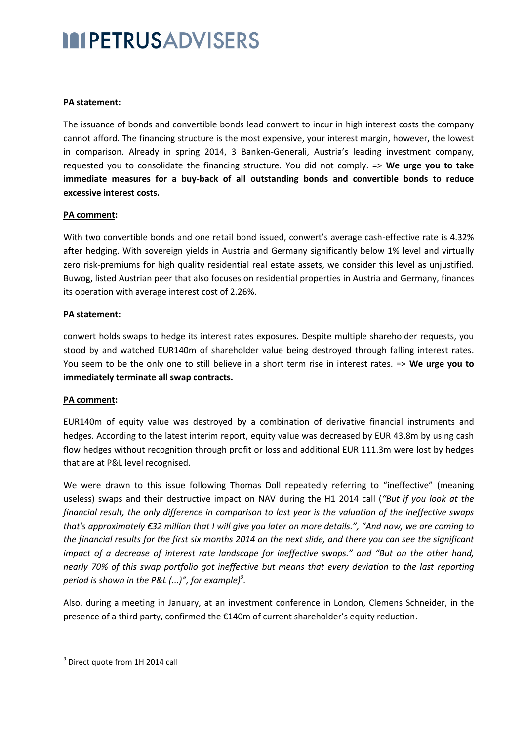## **INPETRUSADVISERS**

## **PA statement:**

The issuance of bonds and convertible bonds lead conwert to incur in high interest costs the company cannot afford. The financing structure is the most expensive, your interest margin, however, the lowest in comparison. Already in spring 2014, 3 Banken-Generali, Austria's leading investment company, requested you to consolidate the financing structure. You did not comply. => **We urge you to take immediate measures for a buy-back of all outstanding bonds and convertible bonds to reduce excessive interest costs.**

### **PA comment:**

With two convertible bonds and one retail bond issued, conwert's average cash-effective rate is 4.32% after hedging. With sovereign yields in Austria and Germany significantly below 1% level and virtually zero risk-premiums for high quality residential real estate assets, we consider this level as unjustified. Buwog, listed Austrian peer that also focuses on residential properties in Austria and Germany, finances its operation with average interest cost of 2.26%.

### **PA statement:**

conwert holds swaps to hedge its interest rates exposures. Despite multiple shareholder requests, you stood by and watched EUR140m of shareholder value being destroyed through falling interest rates. You seem to be the only one to still believe in a short term rise in interest rates. => **We urge you to immediately terminate all swap contracts.**

## **PA comment:**

EUR140m of equity value was destroyed by a combination of derivative financial instruments and hedges. According to the latest interim report, equity value was decreased by EUR 43.8m by using cash flow hedges without recognition through profit or loss and additional EUR 111.3m were lost by hedges that are at P&L level recognised.

We were drawn to this issue following Thomas Doll repeatedly referring to "ineffective" (meaning useless) swaps and their destructive impact on NAV during the H1 2014 call (*"But if you look at the financial result, the only difference in comparison to last year is the valuation of the ineffective swaps that's approximately €32 million that I will give you later on more details.", "And now, we are coming to the financial results for the first six months 2014 on the next slide, and there you can see the significant impact of a decrease of interest rate landscape for ineffective swaps." and "But on the other hand, nearly 70% of this swap portfolio got ineffective but means that every deviation to the last reporting period is shown in the P&L (...)", for example) 3 .* 

Also, during a meeting in January, at an investment conference in London, Clemens Schneider, in the presence of a third party, confirmed the €140m of current shareholder's equity reduction.

1

 $3$  Direct quote from 1H 2014 call